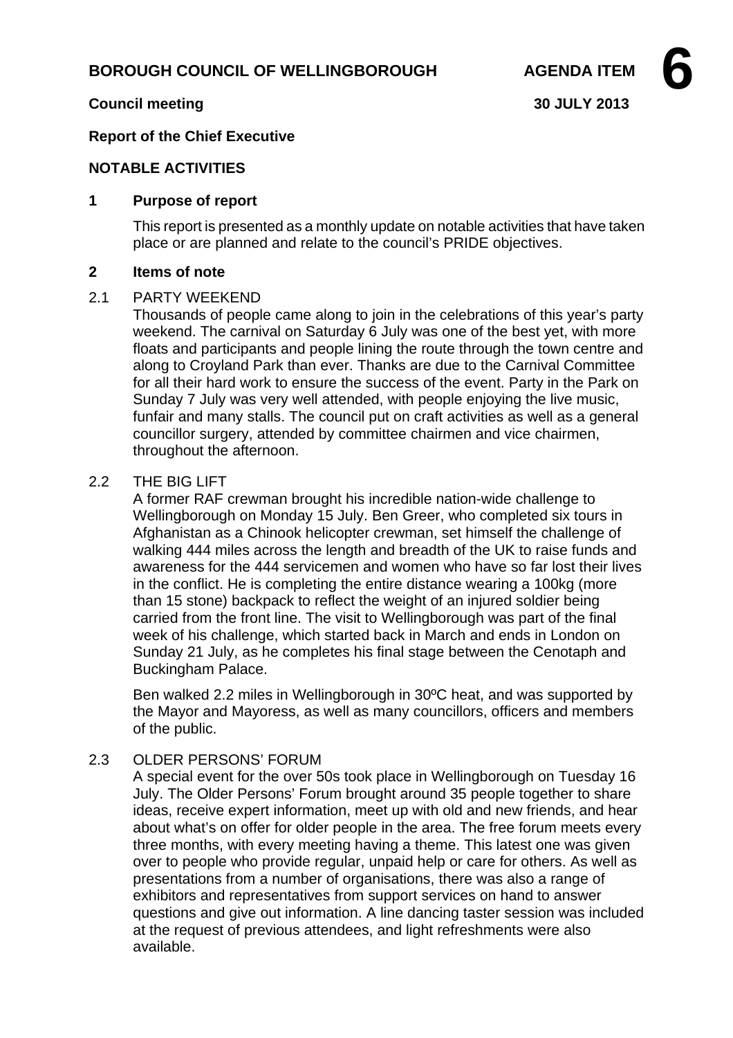# **BOROUGH COUNCIL OF WELLINGBOROUGH AGENDA ITEM**

### **Council meeting 30 JULY 2013**

### **Report of the Chief Executive**

#### **NOTABLE ACTIVITIES**

### **1 Purpose of report**

This report is presented as a monthly update on notable activities that have taken place or are planned and relate to the council's PRIDE objectives.

#### **2 Items of note**

#### 2.1 PARTY WEEKEND

Thousands of people came along to join in the celebrations of this year's party weekend. The carnival on Saturday 6 July was one of the best yet, with more floats and participants and people lining the route through the town centre and along to Croyland Park than ever. Thanks are due to the Carnival Committee for all their hard work to ensure the success of the event. Party in the Park on Sunday 7 July was very well attended, with people enjoying the live music, funfair and many stalls. The council put on craft activities as well as a general councillor surgery, attended by committee chairmen and vice chairmen, throughout the afternoon.

#### 2.2 THE BIG LIFT

A former RAF crewman brought his incredible nation-wide challenge to Wellingborough on Monday 15 July. Ben Greer, who completed six tours in Afghanistan as a Chinook helicopter crewman, set himself the challenge of walking 444 miles across the length and breadth of the UK to raise funds and awareness for the 444 servicemen and women who have so far lost their lives in the conflict. He is completing the entire distance wearing a 100kg (more than 15 stone) backpack to reflect the weight of an injured soldier being carried from the front line. The visit to Wellingborough was part of the final week of his challenge, which started back in March and ends in London on Sunday 21 July, as he completes his final stage between the Cenotaph and Buckingham Palace.

Ben walked 2.2 miles in Wellingborough in 30ºC heat, and was supported by the Mayor and Mayoress, as well as many councillors, officers and members of the public.

## 2.3 OLDER PERSONS' FORUM

A special event for the over 50s took place in Wellingborough on Tuesday 16 July. The Older Persons' Forum brought around 35 people together to share ideas, receive expert information, meet up with old and new friends, and hear about what's on offer for older people in the area. The free forum meets every three months, with every meeting having a theme. This latest one was given over to people who provide regular, unpaid help or care for others. As well as presentations from a number of organisations, there was also a range of exhibitors and representatives from support services on hand to answer questions and give out information. A line dancing taster session was included at the request of previous attendees, and light refreshments were also available.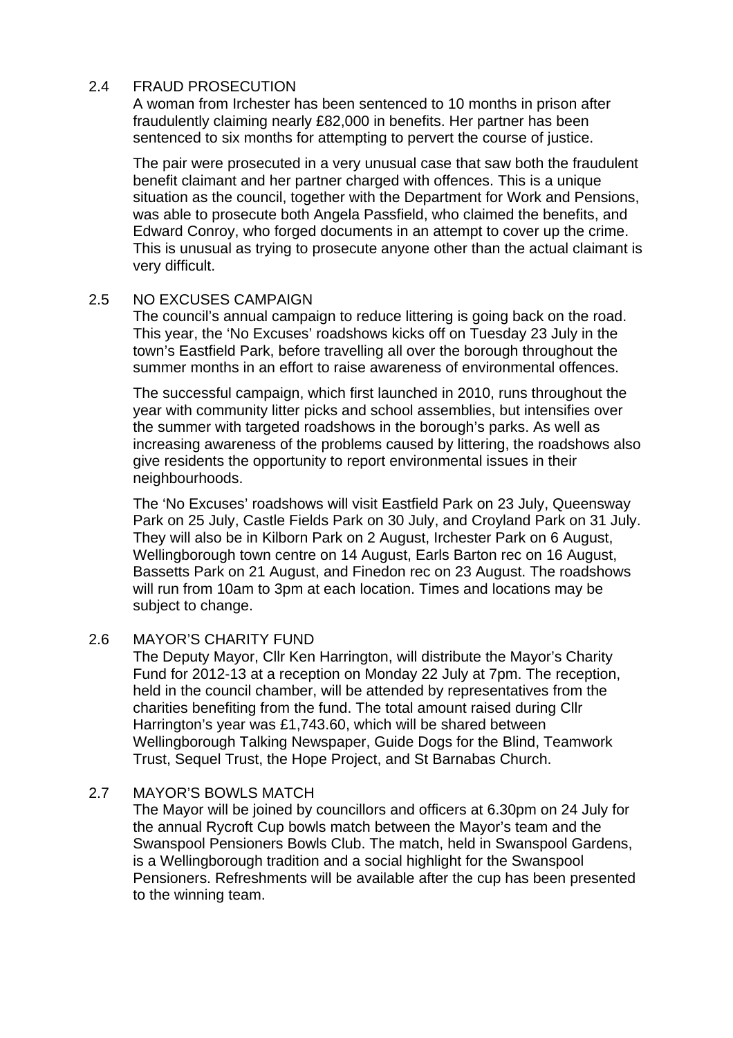## 2.4 FRAUD PROSECUTION

A woman from Irchester has been sentenced to 10 months in prison after fraudulently claiming nearly £82,000 in benefits. Her partner has been sentenced to six months for attempting to pervert the course of justice.

The pair were prosecuted in a very unusual case that saw both the fraudulent benefit claimant and her partner charged with offences. This is a unique situation as the council, together with the Department for Work and Pensions, was able to prosecute both Angela Passfield, who claimed the benefits, and Edward Conroy, who forged documents in an attempt to cover up the crime. This is unusual as trying to prosecute anyone other than the actual claimant is very difficult.

## 2.5 NO EXCUSES CAMPAIGN

The council's annual campaign to reduce littering is going back on the road. This year, the 'No Excuses' roadshows kicks off on Tuesday 23 July in the town's Eastfield Park, before travelling all over the borough throughout the summer months in an effort to raise awareness of environmental offences.

The successful campaign, which first launched in 2010, runs throughout the year with community litter picks and school assemblies, but intensifies over the summer with targeted roadshows in the borough's parks. As well as increasing awareness of the problems caused by littering, the roadshows also give residents the opportunity to report environmental issues in their neighbourhoods.

The 'No Excuses' roadshows will visit Eastfield Park on 23 July, Queensway Park on 25 July, Castle Fields Park on 30 July, and Croyland Park on 31 July. They will also be in Kilborn Park on 2 August, Irchester Park on 6 August, Wellingborough town centre on 14 August, Earls Barton rec on 16 August, Bassetts Park on 21 August, and Finedon rec on 23 August. The roadshows will run from 10am to 3pm at each location. Times and locations may be subject to change.

## 2.6 MAYOR'S CHARITY FUND

The Deputy Mayor, Cllr Ken Harrington, will distribute the Mayor's Charity Fund for 2012-13 at a reception on Monday 22 July at 7pm. The reception, held in the council chamber, will be attended by representatives from the charities benefiting from the fund. The total amount raised during Cllr Harrington's year was £1,743.60, which will be shared between Wellingborough Talking Newspaper, Guide Dogs for the Blind, Teamwork Trust, Sequel Trust, the Hope Project, and St Barnabas Church.

## 2.7 MAYOR'S BOWLS MATCH

The Mayor will be joined by councillors and officers at 6.30pm on 24 July for the annual Rycroft Cup bowls match between the Mayor's team and the Swanspool Pensioners Bowls Club. The match, held in Swanspool Gardens, is a Wellingborough tradition and a social highlight for the Swanspool Pensioners. Refreshments will be available after the cup has been presented to the winning team.